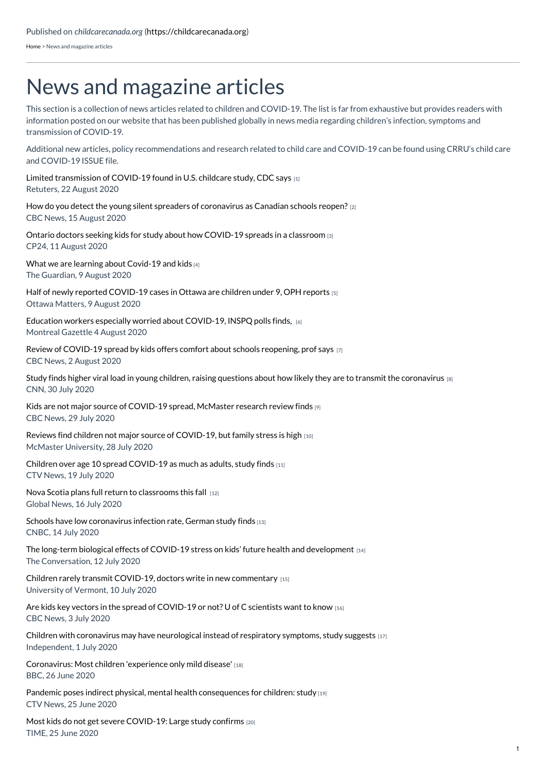[Home](https://childcarecanada.org/) > News and magazine articles

## News and magazine articles

This section is a collection of news articles related to children and COVID-19. The list is far from exhaustive but provides readers with information posted on our website that has been published globally in news media regarding children's infection, symptoms and transmission of COVID-19.

Additional new articles, policy recommendations and research related to child care and COVID-19 can be found using CRRU's child care and COVID-19 ISSUE file.

Limited [transmission](https://www.childcarecanada.org/documents/child-care-news/20/08/limited-transmission-covid-19-found-us-childcare-study-cdc-says) of COVID-19 found in U.S. childcare study, CDC says [1] Retuters, 22 August 2020

How do you detect the young silent spreaders of [coronavirus](https://www.childcarecanada.org/documents/child-care-news/20/08/how-do-you-detect-young-silent-spreaders-coronavirus-canadian-school) as Canadian schools reopen? [2] CBC News, 15 August 2020

Ontario doctors seeking kids for study about how [COVID-19](https://www.childcarecanada.org/documents/child-care-news/20/08/ontario-doctors-want-kids-teachers-study-about-how-covid-19-spreads-) spreads in a classroom [3] CP24, 11 August 2020

What we are learning about [Covid-19](https://www.childcarecanada.org/documents/child-care-news/20/08/what-we-are-learning-about-covid-19-and-kids) and kids [4] The Guardian, 9 August 2020

Half of newly reported [COVID-19](https://www.childcarecanada.org/documents/child-care-news/20/08/half-newly-reported-covid-19-cases-ottawa-are-children-under-9-oph-r) cases in Ottawa are children under 9, OPH reports [5] Ottawa Matters, 9 August 2020

Education workers especially worried about [COVID-19,](https://www.childcarecanada.org/documents/child-care-news/20/08/education-workers-especially-worried-about-covid-19-inspq-polls-find) INSPQ polls finds, [6] Montreal Gazettle 4 August 2020

Review of [COVID-19](https://www.childcarecanada.org/documents/child-care-news/20/08/review-covid-19-spread-kids-offers-comfort-about-schools-reopening-p) spread by kids offers comfort about schools reopening, prof says [7] CBC News, 2 August 2020

Study finds higher viral load in young children, raising questions about how likely they are to transmit the [coronavirus](https://www.childcarecanada.org/documents/child-care-news/20/08/study-finds-higher-viral-load-young-children-raising-questions-about) [8] CNN, 30 July 2020

Kids are not major source of [COVID-19](https://www.childcarecanada.org/documents/child-care-news/20/08/kids-are-not-major-source-covid-19-spread-mcmaster-research-review-f) spread, McMaster research review finds [9] CBC News, 29 July 2020

Reviews find children not major source of [COVID-19,](https://www.childcarecanada.org/documents/child-care-news/20/07/reviews-find-children-not-major-source-covid-19-family-stress-high) but family stress is high [10] McMaster University, 28 July 2020

Children over age 10 spread [COVID-19](https://www.childcarecanada.org/documents/child-care-news/20/07/children-over-age-10-spread-covid-19-much-adults-study-finds) as much as adults, study finds [11] CTV News, 19 July 2020

Nova Scotia plans full return to [classrooms](https://www.childcarecanada.org/documents/child-care-news/20/07/nova-scotia-plans-full-return-classrooms-fall) this fall [12] Global News, 16 July 2020

Schools have low [coronavirus](https://www.childcarecanada.org/documents/child-care-news/20/07/schools-have-low-coronavirus-infection-rate-german-study-finds) infection rate, German study finds [13] CNBC, 14 July 2020

The long-term biological effects of COVID-19 stress on kids' future health and [development](https://www.childcarecanada.org/documents/child-care-news/20/07/long-term-biological-effects-covid-19-stress-kids%25E2%2580%2599-future-health-and) [14] The Conversation, 12 July 2020

Children rarely transmit COVID-19, doctors write in new [commentary](https://www.childcarecanada.org/documents/child-care-news/20/07/children-rarely-transmit-covid-19-doctors-write-new-commentary) [15] University of Vermont, 10 July 2020

Are kids key vectors in the spread of [COVID-19](https://www.childcarecanada.org/documents/child-care-news/20/07/are-kids-key-vectors-spread-covid-19-or-not-u-c-scientists-want-know) or not? U of C scientists want to know [16] CBC News, 3 July 2020

Children with coronavirus may have [neurological](https://www.childcarecanada.org/documents/child-care-news/20/07/children-coronavirus-may-have-neurological-instead-respiratory-sympt) instead of respiratory symptoms, study suggests [17] Independent, 1 July 2020

[Coronavirus:](https://www.childcarecanada.org/documents/child-care-news/20/06/coronavirus-most-children-experience-only-mild-disease) Most children 'experience only mild disease' [18] BBC, 26 June 2020

Pandemic poses indirect physical, mental health [consequences](https://www.childcarecanada.org/documents/child-care-news/20/06/pandemic-poses-indirect-physical-mental-health-consequences-children) for children: study  $[19]$ CTV News, 25 June 2020

Most kids do not get severe [COVID-19:](https://www.childcarecanada.org/documents/child-care-news/20/06/most-kids-do-not-get-severe-covid-19-large-study-confirms) Large study confirms [20] TIME, 25 June 2020